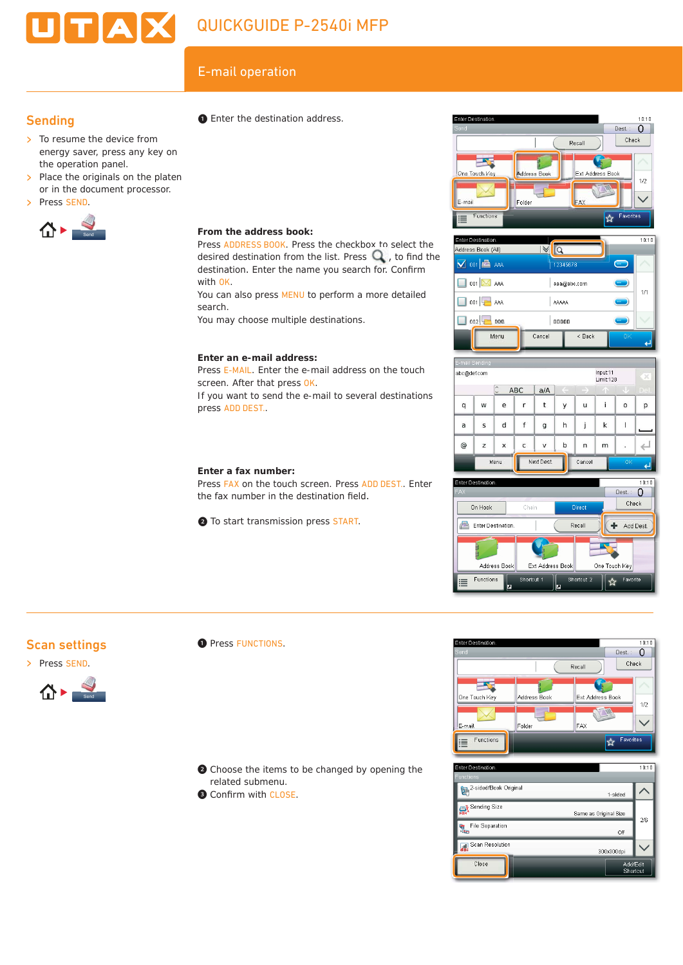# E-mail operation

**From the address book:**

**Enter an e-mail address:**

screen. After that press OK.

press ADD DEST..

**Enter a fax number:**

with OK.

search.

Press ADDRESS BOOK. Press the checkbox to select the desired destination from the list. Press  $\mathbb Q$ , to find the destination. Enter the name you search for. Confirm

You can also press MENU to perform a more detailed

Press E-MAIL. Enter the e-mail address on the touch

If you want to send the e-mail to several destinations

Press FAX on the touch screen. Press ADD DEST.. Enter

the fax number in the destination field.

❷ To start transmission press START.

You may choose multiple destinations.

❶ Enter the destination address.

# **Sending**

- $\triangleright$  To resume the device from energy saver, press any key on the operation panel.
- $\triangleright$  Place the originals on the platen or in the document processor.
- > Press SEND.



#### Enter Destination  $10:10$ Dest.:  $\begin{bmatrix} 0 \end{bmatrix}$ Check Recall  $\overline{\phantom{a}}$ One Touch Key Ext Address Book **Address Book**  $1/2$  $\|$ Foldor Functions E  $\overline{\left. \left. \right. \right. \left. \left. \right. \right. \left. \left. \right. \left. \right. \left. \left. \right. \right. \left. \left. \right. \left. \left. \right. \right. \left. \left. \left. \right. \right. \left. \left. \right. \left. \left. \right. \right. \left. \left. \right. \right. \left. \left. \left. \right. \right. \left. \left. \right. \left. \left. \right. \right. \left. \left. \right. \right. \left. \left. \right. \right. \left. \left. \right. \right. \left. \left. \left. \right. \right. \left. \left. \right. \$





## Scan settings





#### **O** Press FUNCTIONS.

- ❷ Choose the items to be changed by opening the related submenu.
- <sup>O</sup> Confirm with CLOSE.



| Enter Destination.                | 10:10                 |
|-----------------------------------|-----------------------|
| <b>Functions</b>                  |                       |
| 2-sided/Book Original             | 1-sided               |
| Sending Size                      | Same as Original Size |
| <b>File Separation</b><br>e<br>Ee | 2/6<br>Off            |
| Scan Resolution                   | 300x300dpi            |
| Close                             | Add/Edit<br>Shortcut  |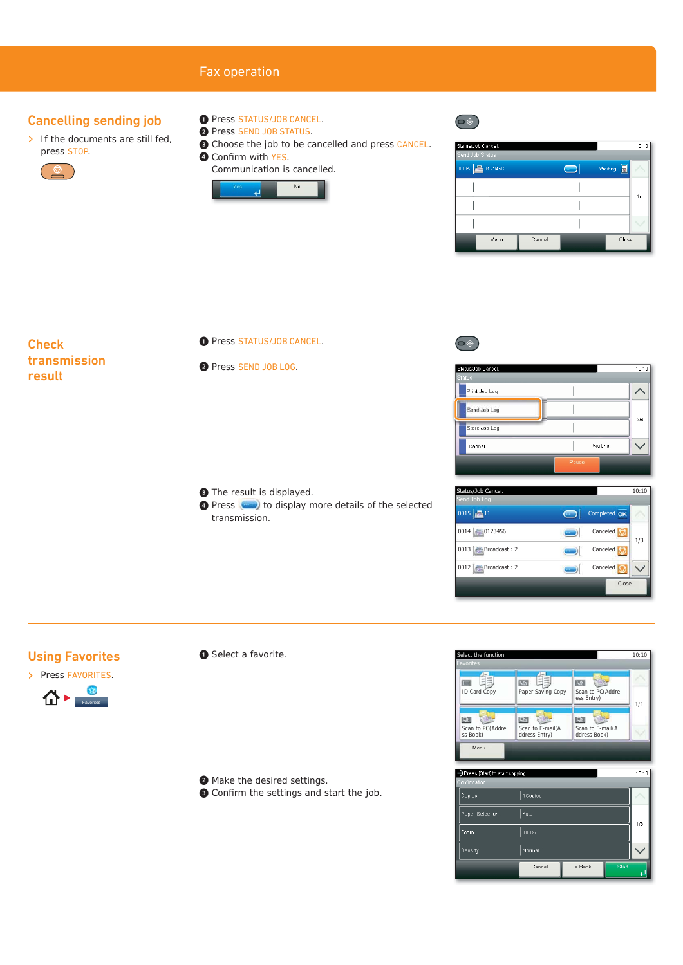#### Fax operation Cancelling sending job ❶ Press STATUS/JOB CANCEL.  $\boxed{\circledast}$ ❷ Press SEND JOB STATUS.  $\triangleright$  If the documents are still fed, ❸ Choose the job to be cancelled and press CANCEL. .<br>Status/Job Cancel  $10:10$ press STOP. **O** Confirm with YES. Communication is cancelled.  $\bigodot$ 0005 2 0123456 Waiting **a**  $\mathbf{Q}$  $_{\mathrm{No}}$ ᆀ  $1/1$  $\overline{\phantom{a}}$ I Menu Cancel Close ❶ Press STATUS/JOB CANCEL. **Check** transmission ❷ Press SEND JOB LOG.  $10:10$ atus/Job Cance result Print Job Log  $\wedge$ Send Job Log  $\overline{\phantom{a}}$  $\frac{2}{4}$ Store Job Log  $\overline{\phantom{a}}$  $\checkmark$ Scanner  $\overline{\phantom{a}}$ Waiting  $\overline{\text{S}}$ tatus/Job Cancel.  $\overline{\text{S}}$ ❸ The result is displayed. Send Job Log **O** Press **to display more details of the selected**  $\blacksquare$ Completed OK transmission.  $0015$   $\sqrt{211}$ 0014  $\sim$  0123456 Canceled  $\odot$  $1/3$ 0013 **Broadcast** : 2 **Canceled**  $\bigcirc$ 0012 **Broadcast : 2** Canceled  $\bigcirc$ Close Using Favorites ❶ Select a favorite. Sect the function.  $10.10$ Favorites > Press FAVORITES. ID Card Copy Paper Saving Copy ess Entry) 合) 1/1 Favorites**B** Scan to PC(Addre Scan to E-mail(A ddress Entry) Scan to E-mail(A ddress Book) ss Book) **Menu** Press [Start] to start copying.  $\frac{1}{10:11}$ ❷ Make the desired settings. <sup>O</sup> Confirm the settings and start the job.



Cancel

 $<$  Back

 $1/6$ 

 $\overline{\phantom{0}}$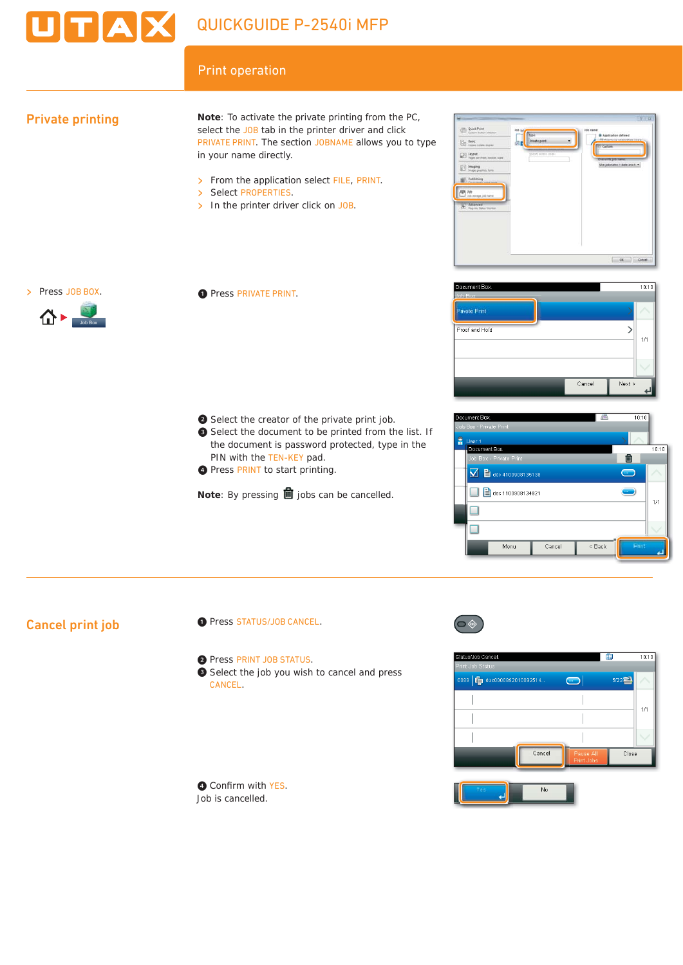

# Print operation

## Private printing

**Note**: To activate the private printing from the PC, select the JOB tab in the printer driver and click PRIVATE PRINT. The section JOBNAME allows you to type in your name directly.

- > From the application select FILE, PRINT.
- > Select PROPERTIES.
- $\triangleright$  In the printer driver click on JOB.





Job Box

❶ Press PRIVATE PRINT.

- ❷ Select the creator of the private print job.
- ❸ Select the document to be printed from the list. If the document is password protected, type in the PIN with the TEN-KEY pad.
- **O** Press PRINT to start printing.

**Note**: By pressing **l** jobs can be cancelled.





# Cancel print job

- ❶ Press STATUS/JOB CANCEL.
- ❷ Press PRINT JOB STATUS.
- ❸ Select the job you wish to cancel and press CANCEL.